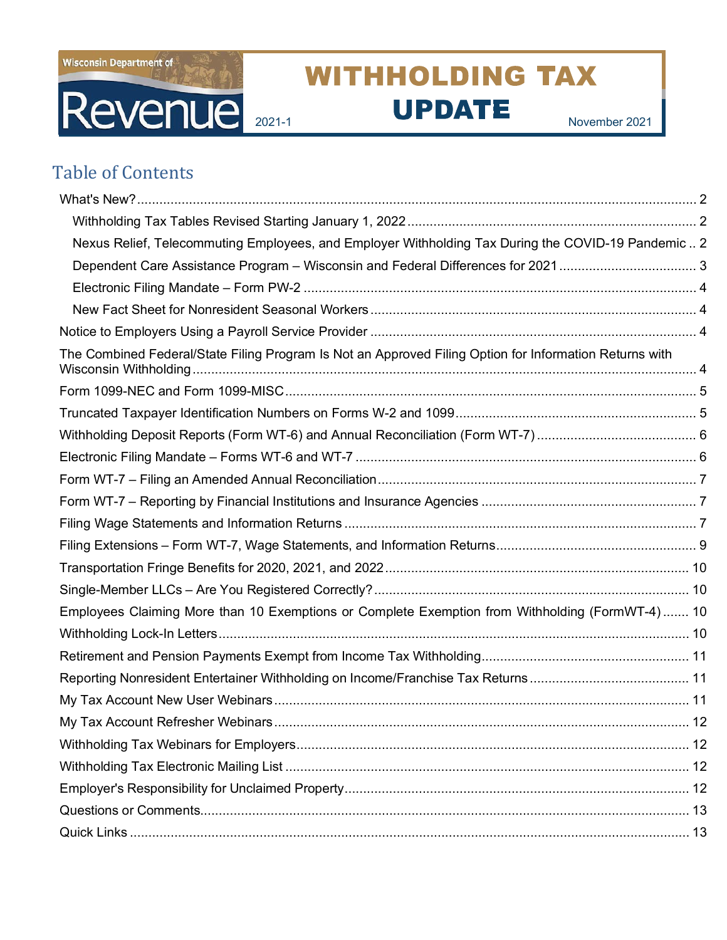

# **WITHHOLDING TAX** Revenue 2021-1 UPDATE November 2021

# Table of Contents

| Nexus Relief, Telecommuting Employees, and Employer Withholding Tax During the COVID-19 Pandemic  2     |  |
|---------------------------------------------------------------------------------------------------------|--|
|                                                                                                         |  |
|                                                                                                         |  |
|                                                                                                         |  |
|                                                                                                         |  |
| The Combined Federal/State Filing Program Is Not an Approved Filing Option for Information Returns with |  |
|                                                                                                         |  |
|                                                                                                         |  |
|                                                                                                         |  |
|                                                                                                         |  |
|                                                                                                         |  |
|                                                                                                         |  |
|                                                                                                         |  |
|                                                                                                         |  |
|                                                                                                         |  |
|                                                                                                         |  |
| Employees Claiming More than 10 Exemptions or Complete Exemption from Withholding (FormWT-4) 10         |  |
|                                                                                                         |  |
|                                                                                                         |  |
|                                                                                                         |  |
|                                                                                                         |  |
|                                                                                                         |  |
|                                                                                                         |  |
|                                                                                                         |  |
|                                                                                                         |  |
|                                                                                                         |  |
|                                                                                                         |  |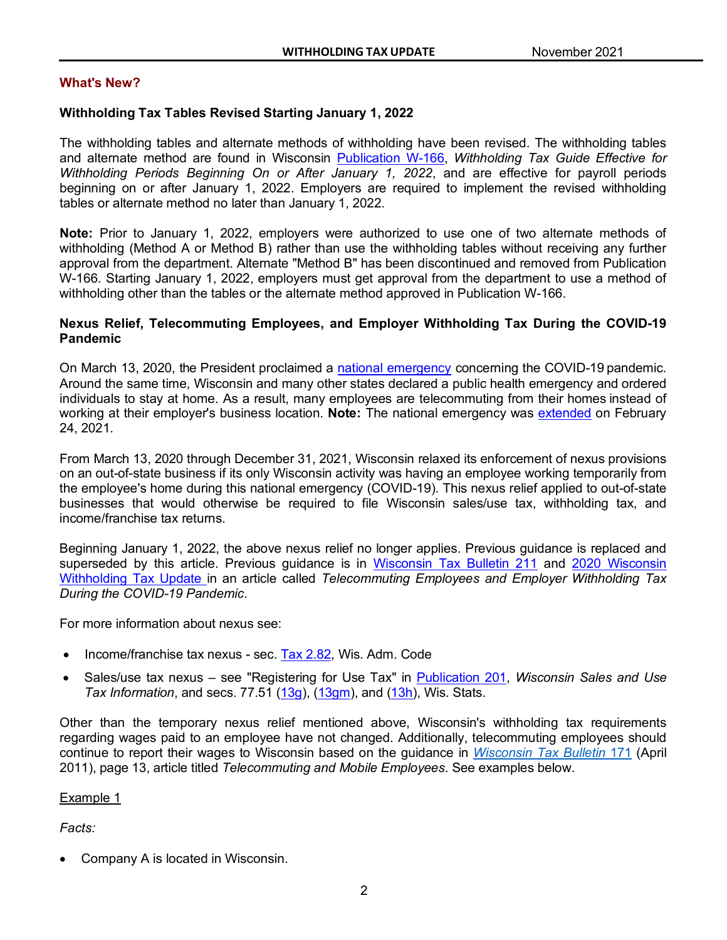# <span id="page-1-0"></span>**What's New?**

# <span id="page-1-1"></span>**Withholding Tax Tables Revised Starting January 1, 2022**

The withholding tables and alternate methods of withholding have been revised. The withholding tables and alternate method are found in Wisconsin [Publication W-166,](https://www.revenue.wi.gov/DOR%20Publications/pb166.pdf) *Withholding Tax Guide Effective for Withholding Periods Beginning On or After January 1, 2022*, and are effective for payroll periods beginning on or after January 1, 2022. Employers are required to implement the revised withholding tables or alternate method no later than January 1, 2022.

**Note:** Prior to January 1, 2022, employers were authorized to use one of two alternate methods of withholding (Method A or Method B) rather than use the withholding tables without receiving any further approval from the department. Alternate "Method B" has been discontinued and removed from Publication W-166. Starting January 1, 2022, employers must get approval from the department to use a method of withholding other than the tables or the alternate method approved in Publication W-166.

### <span id="page-1-2"></span>**Nexus Relief, Telecommuting Employees, and Employer Withholding Tax During the COVID-19 Pandemic**

On March 13, 2020, the President proclaimed a [national emergency](https://www.govinfo.gov/content/pkg/FR-2020-03-18/pdf/2020-05794.pdf) concerning the COVID-19 pandemic. Around the same time, Wisconsin and many other states declared a public health emergency and ordered individuals to stay at home. As a result, many employees are telecommuting from their homes instead of working at their employer's business location. **Note:** The national emergency was [extended](https://www.govinfo.gov/content/pkg/FR-2021-02-26/pdf/2021-04173.pdf) on February 24, 2021.

From March 13, 2020 through December 31, 2021, Wisconsin relaxed its enforcement of nexus provisions on an out-of-state business if its only Wisconsin activity was having an employee working temporarily from the employee's home during this national emergency (COVID-19). This nexus relief applied to out-of-state businesses that would otherwise be required to file Wisconsin sales/use tax, withholding tax, and income/franchise tax returns.

Beginning January 1, 2022, the above nexus relief no longer applies. Previous guidance is replaced and superseded by this article. Previous quidance is in [Wisconsin Tax Bulletin 211](https://www.revenue.wi.gov/WisconsinTaxBulletin/211-11-20-WTB.pdf) and 2020 Wisconsin [Withholding Tax Update](https://www.revenue.wi.gov/withholdingtaxupdate/20-1.pdf) in an article called *Telecommuting Employees and Employer Withholding Tax During the COVID-19 Pandemic*.

For more information about nexus see:

- Income/franchise tax nexus sec. [Tax 2.82,](https://docs.legis.wisconsin.gov/code/admin_code/tax/2/82) Wis. Adm. Code
- Sales/use tax nexus see "Registering for Use Tax" in [Publication 201,](https://www.revenue.wi.gov/DOR%20Publications/pb201.pdf) *Wisconsin Sales and Use Tax Information*, and secs. 77.51 [\(13g\)](https://docs.legis.wisconsin.gov/document/statutes/77.51(13g)), [\(13gm\)](https://docs.legis.wisconsin.gov/document/statutes/77.51(13gm)), and [\(13h\)](https://docs.legis.wisconsin.gov/document/statutes/77.51(13h)), Wis. Stats.

Other than the temporary nexus relief mentioned above, Wisconsin's withholding tax requirements regarding wages paid to an employee have not changed. Additionally, telecommuting employees should continue to report their wages to Wisconsin based on the guidance in *[Wisconsin](https://www.revenue.wi.gov/WisconsinTaxBulletin/171tr.pdf) Tax Bulletin* 171 (April 2011), page 13, article titled *Telecommuting and Mobile Employees*. See examples below.

# Example 1

*Facts:*

• Company A is located in Wisconsin.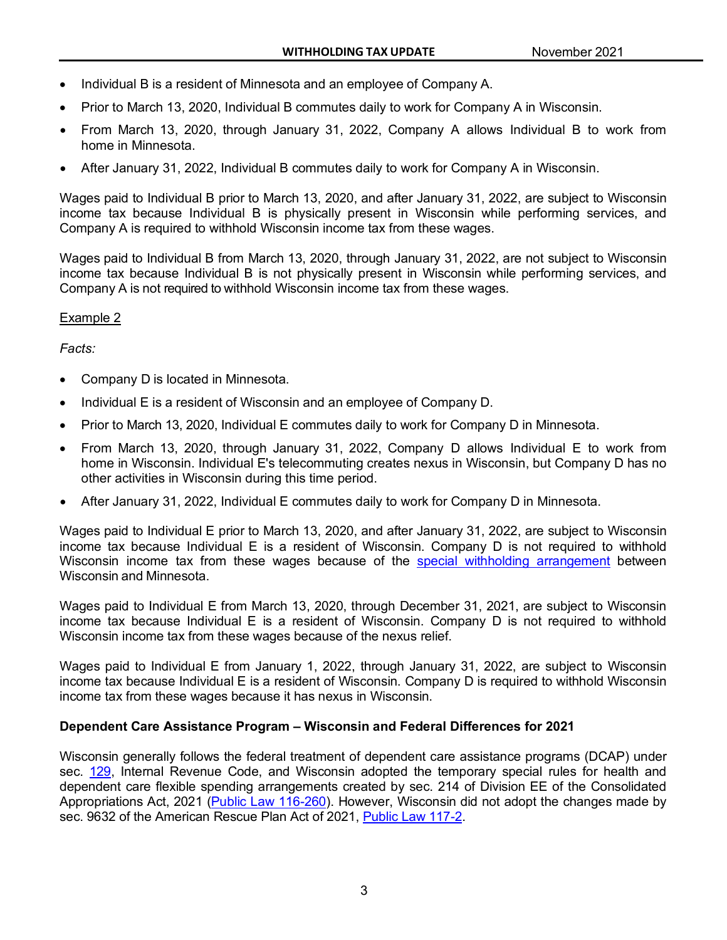- Individual B is a resident of Minnesota and an employee of Company A.
- Prior to March 13, 2020, Individual B commutes daily to work for Company A in Wisconsin.
- From March 13, 2020, through January 31, 2022, Company A allows Individual B to work from home in Minnesota.
- After January 31, 2022, Individual B commutes daily to work for Company A in Wisconsin.

Wages paid to Individual B prior to March 13, 2020, and after January 31, 2022, are subject to Wisconsin income tax because Individual B is physically present in Wisconsin while performing services, and Company A is required to withhold Wisconsin income tax from these wages.

Wages paid to Individual B from March 13, 2020, through January 31, 2022, are not subject to Wisconsin income tax because Individual B is not physically present in Wisconsin while performing services, and Company A is not required to withhold Wisconsin income tax from these wages.

# Example 2

# *Facts:*

- Company D is located in Minnesota.
- Individual E is a resident of Wisconsin and an employee of Company D.
- Prior to March 13, 2020, Individual E commutes daily to work for Company D in Minnesota.
- From March 13, 2020, through January 31, 2022, Company D allows Individual E to work from home in Wisconsin. Individual E's telecommuting creates nexus in Wisconsin, but Company D has no other activities in Wisconsin during this time period.
- After January 31, 2022, Individual E commutes daily to work for Company D in Minnesota.

Wages paid to Individual E prior to March 13, 2020, and after January 31, 2022, are subject to Wisconsin income tax because Individual E is a resident of Wisconsin. Company D is not required to withhold Wisconsin income tax from these wages because of the special withholding [arrangement](https://www.revenue.wi.gov/Pages/TaxPro/2010/news-2010-100120.aspx) between Wisconsin and Minnesota.

Wages paid to Individual E from March 13, 2020, through December 31, 2021, are subject to Wisconsin income tax because Individual E is a resident of Wisconsin. Company D is not required to withhold Wisconsin income tax from these wages because of the nexus relief.

Wages paid to Individual E from January 1, 2022, through January 31, 2022, are subject to Wisconsin income tax because Individual E is a resident of Wisconsin. Company D is required to withhold Wisconsin income tax from these wages because it has nexus in Wisconsin.

# <span id="page-2-0"></span>**Dependent Care Assistance Program – Wisconsin and Federal Differences for 2021**

Wisconsin generally follows the federal treatment of dependent care assistance programs (DCAP) under sec. [129,](https://www.law.cornell.edu/uscode/text/26/129) Internal Revenue Code, and Wisconsin adopted the temporary special rules for health and dependent care flexible spending arrangements created by sec. 214 of Division EE of the Consolidated Appropriations Act, 2021 [\(Public Law 116-260\)](https://www.congress.gov/116/bills/hr133/BILLS-116hr133enr.pdf). However, Wisconsin did not adopt the changes made by sec. 9632 of the American Rescue Plan Act of 2021, [Public Law 117-2.](https://www.congress.gov/117/bills/hr1319/BILLS-117hr1319enr.pdf)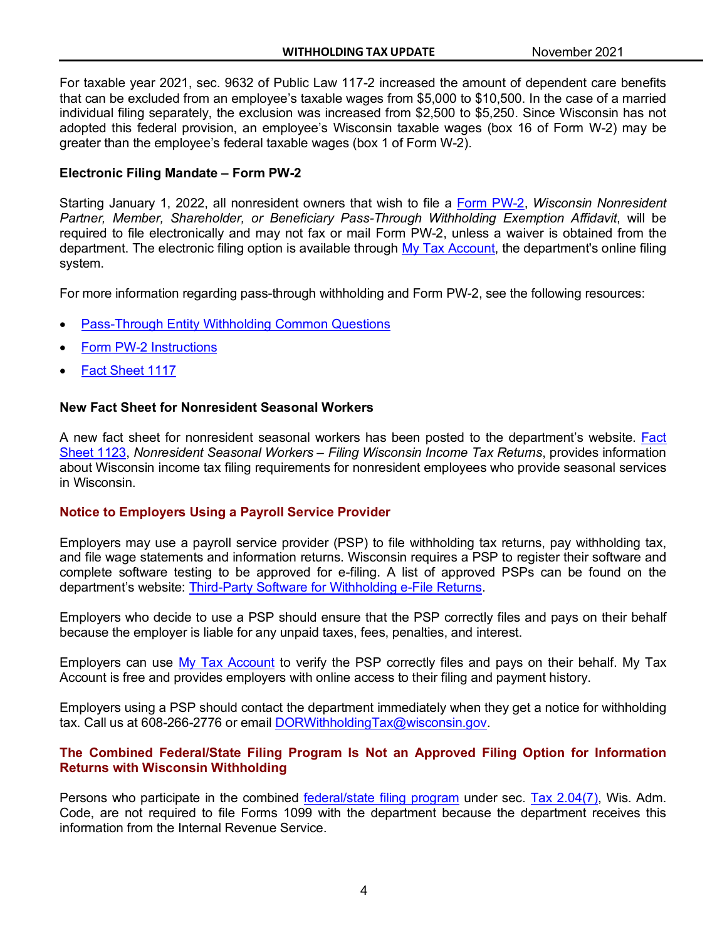For taxable year 2021, sec. 9632 of Public Law 117-2 increased the amount of dependent care benefits that can be excluded from an employee's taxable wages from \$5,000 to \$10,500. In the case of a married individual filing separately, the exclusion was increased from \$2,500 to \$5,250. Since Wisconsin has not adopted this federal provision, an employee's Wisconsin taxable wages (box 16 of Form W-2) may be greater than the employee's federal taxable wages (box 1 of Form W-2).

# <span id="page-3-0"></span>**Electronic Filing Mandate – Form PW-2**

Starting January 1, 2022, all nonresident owners that wish to file a [Form PW-2,](https://www.revenue.wi.gov/Pages/Form/with-home.aspx) *Wisconsin Nonresident Partner, Member, Shareholder, or Beneficiary Pass-Through Withholding Exemption Affidavit*, will be required to file electronically and may not fax or mail Form PW-2, unless a waiver is obtained from the department. The electronic filing option is available through [My Tax Account,](https://tap.revenue.wi.gov/PW2/_/) the department's online filing system.

For more information regarding pass-through withholding and Form PW-2, see the following resources:

- [Pass-Through Entity Withholding Common Questions](https://www.revenue.wi.gov/Pages/FAQS/ise-pass.aspx)
- [Form PW-2 Instructions](https://www.revenue.wi.gov/Pages/Form/with-home.aspx)
- **[Fact Sheet 1117](https://www.revenue.wi.gov/Pages/HTML/FactSheets.aspx)**

# <span id="page-3-1"></span>**New Fact Sheet for Nonresident Seasonal Workers**

A new fact sheet for nonresident seasonal workers has been posted to the department's website. [Fact](https://www.revenue.wi.gov/DOR%20Publications/1123seasonalworkers.pdf)  [Sheet 1123,](https://www.revenue.wi.gov/DOR%20Publications/1123seasonalworkers.pdf) *Nonresident Seasonal Workers – Filing Wisconsin Income Tax Returns*, provides information about Wisconsin income tax filing requirements for nonresident employees who provide seasonal services in Wisconsin.

# <span id="page-3-2"></span>**Notice to Employers Using a Payroll Service Provider**

Employers may use a payroll service provider (PSP) to file withholding tax returns, pay withholding tax, and file wage statements and information returns. Wisconsin requires a PSP to register their software and complete software testing to be approved for e-filing. A list of approved PSPs can be found on the department's website: [Third-Party Software for Withholding e-File Returns.](https://www.revenue.wi.gov/Pages/Withholding/third-party.aspx)

Employers who decide to use a PSP should ensure that the PSP correctly files and pays on their behalf because the employer is liable for any unpaid taxes, fees, penalties, and interest.

Employers can use [My Tax Account](https://tap.revenue.wi.gov/mta/_/) to verify the PSP correctly files and pays on their behalf. My Tax Account is free and provides employers with online access to their filing and payment history.

Employers using a PSP should contact the department immediately when they get a notice for withholding tax. Call us at 608-266-2776 or email [DORWithholdingTax@wisconsin.gov.](mailto:DORWithholdingTax@wisconsin.gov)

# <span id="page-3-3"></span>**The Combined Federal/State Filing Program Is Not an Approved Filing Option for Information Returns with Wisconsin Withholding**

Persons who participate in the combined [federal/state filing program](https://www.irs.gov/taxtopics/tc804) under sec. [Tax 2.04\(7\),](https://docs.legis.wisconsin.gov/code/admin_code/tax/2/04/7) Wis. Adm. Code, are not required to file Forms 1099 with the department because the department receives this information from the Internal Revenue Service.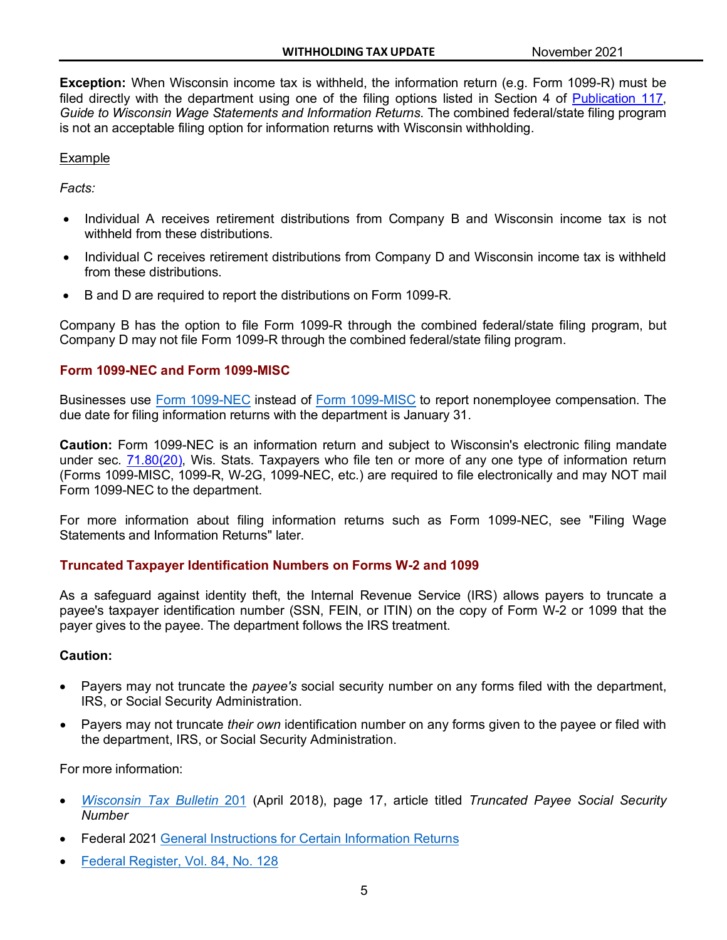**Exception:** When Wisconsin income tax is withheld, the information return (e.g. Form 1099-R) must be filed directly with the department using one of the filing options listed in Section 4 of [Publication 117,](https://www.revenue.wi.gov/DOR%20Publications/pb117.pdf) *Guide to Wisconsin Wage Statements and Information Returns*. The combined federal/state filing program is not an acceptable filing option for information returns with Wisconsin withholding.

#### Example

*Facts:*

- Individual A receives retirement distributions from Company B and Wisconsin income tax is not withheld from these distributions.
- Individual C receives retirement distributions from Company D and Wisconsin income tax is withheld from these distributions.
- B and D are required to report the distributions on Form 1099-R.

Company B has the option to file Form 1099-R through the combined federal/state filing program, but Company D may not file Form 1099-R through the combined federal/state filing program.

#### <span id="page-4-0"></span>**Form 1099-NEC and Form 1099-MISC**

Businesses use Form [1099-NEC](https://www.irs.gov/pub/irs-pdf/f1099nec.pdf) instead of Form [1099-MISC](https://www.irs.gov/pub/irs-pdf/f1099msc.pdf) to report nonemployee compensation. The due date for filing information returns with the department is January 31.

**Caution:** Form 1099-NEC is an information return and subject to Wisconsin's electronic filing mandate under sec. [71.80\(20\),](https://docs.legis.wisconsin.gov/statutes/statutes/71/xii/80/20) Wis. Stats. Taxpayers who file ten or more of any one type of information return (Forms 1099-MISC, 1099-R, W-2G, 1099-NEC, etc.) are required to file electronically and may NOT mail Form 1099-NEC to the department.

For more information about filing information returns such as Form 1099-NEC, see "Filing Wage Statements and Information Returns" later.

# <span id="page-4-1"></span>**Truncated Taxpayer Identification Numbers on Forms W-2 and 1099**

As a safeguard against identity theft, the Internal Revenue Service (IRS) allows payers to truncate a payee's taxpayer identification number (SSN, FEIN, or ITIN) on the copy of Form W-2 or 1099 that the payer gives to the payee. The department follows the IRS treatment.

#### **Caution:**

- Payers may not truncate the *payee's* social security number on any forms filed with the department, IRS, or Social Security Administration.
- Payers may not truncate *their own* identification number on any forms given to the payee or filed with the department, IRS, or Social Security Administration.

For more information:

- *[Wisconsin](https://www.revenue.wi.gov/WisconsinTaxBulletin/201-04-18-WTB.pdf) Tax Bulletin* 201 (April 2018), page 17, article titled *Truncated Payee Social Security Number*
- Federal 2021 General [Instructions](https://www.irs.gov/pub/irs-pdf/i1099gi.pdf) for Certain Information Returns
- Federal [Register,](https://www.govinfo.gov/content/pkg/FR-2019-07-03/pdf/2019-11500.pdf#page%3D1) Vol. 84, No. 128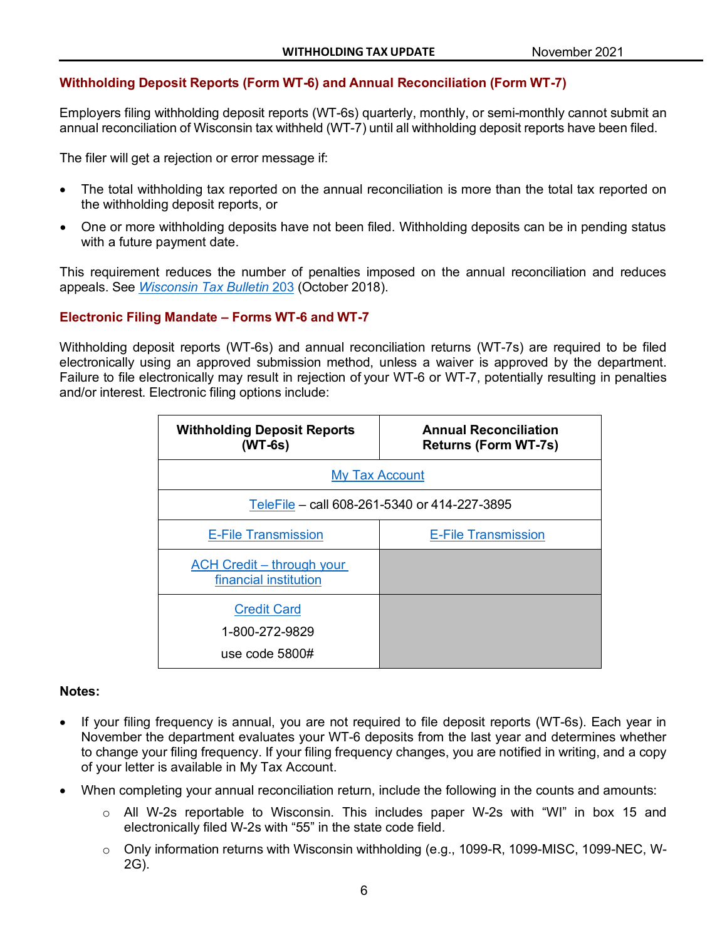# <span id="page-5-0"></span>**Withholding Deposit Reports (Form WT-6) and Annual Reconciliation (Form WT-7)**

Employers filing withholding deposit reports (WT-6s) quarterly, monthly, or semi-monthly cannot submit an annual reconciliation of Wisconsin tax withheld (WT-7) until all withholding deposit reports have been filed.

The filer will get a rejection or error message if:

- The total withholding tax reported on the annual reconciliation is more than the total tax reported on the withholding deposit reports, or
- One or more withholding deposits have not been filed. Withholding deposits can be in pending status with a future payment date.

This requirement reduces the number of penalties imposed on the annual reconciliation and reduces appeals. See *Wisconsin [Tax Bulletin](https://www.revenue.wi.gov/WisconsinTaxBulletin/203-10-18-WTB.pdf)* 203 (October 2018).

# <span id="page-5-1"></span>**Electronic Filing Mandate – Forms WT-6 and WT-7**

Withholding deposit reports (WT-6s) and annual reconciliation returns (WT-7s) are required to be filed electronically using an approved submission method, unless a waiver is approved by the department. Failure to file electronically may result in rejection of your WT-6 or WT-7, potentially resulting in penalties and/or interest. Electronic filing options include:

| <b>Withholding Deposit Reports</b><br>$(WT-6s)$          | <b>Annual Reconciliation</b><br><b>Returns (Form WT-7s)</b> |  |  |  |
|----------------------------------------------------------|-------------------------------------------------------------|--|--|--|
| <b>My Tax Account</b>                                    |                                                             |  |  |  |
|                                                          | TeleFile - call 608-261-5340 or 414-227-3895                |  |  |  |
| <b>E-File Transmission</b>                               | <b>E-File Transmission</b>                                  |  |  |  |
| ACH Credit - through your<br>financial institution       |                                                             |  |  |  |
| <b>Credit Card</b><br>1-800-272-9829<br>use code $5800#$ |                                                             |  |  |  |

#### **Notes:**

- If your filing frequency is annual, you are not required to file deposit reports (WT-6s). Each year in November the department evaluates your WT-6 deposits from the last year and determines whether to change your filing frequency. If your filing frequency changes, you are notified in writing, and a copy of your letter is available in My Tax Account.
- When completing your annual reconciliation return, include the following in the counts and amounts:
	- $\circ$  All W-2s reportable to Wisconsin. This includes paper W-2s with "WI" in box 15 and electronically filed W-2s with "55" in the state code field.
	- o Only information returns with Wisconsin withholding (e.g., 1099-R, 1099-MISC, 1099-NEC, W-2G).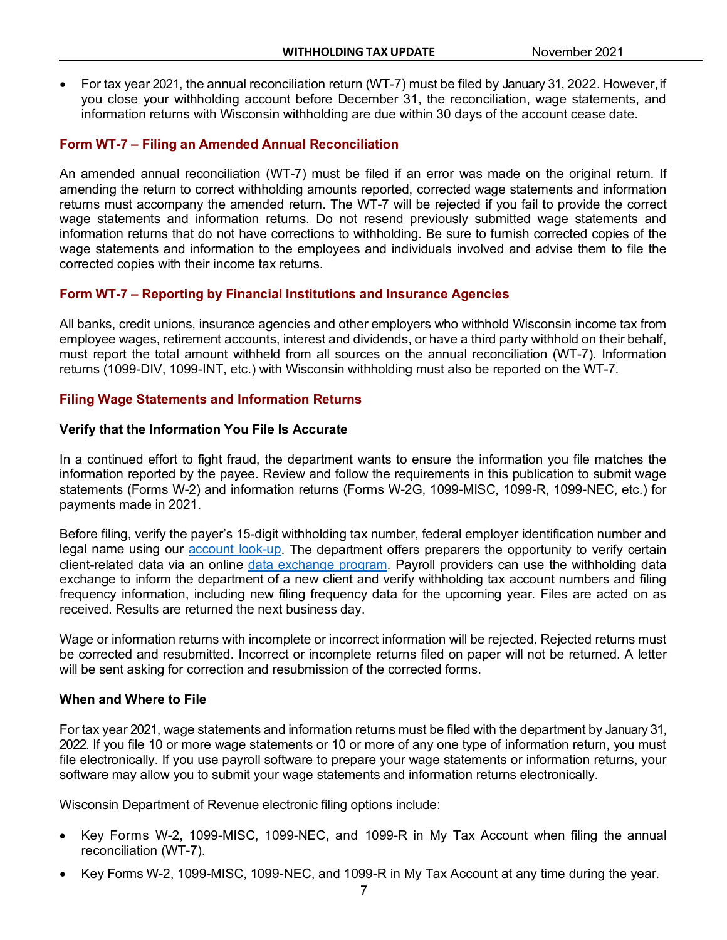• For tax year 2021, the annual reconciliation return (WT-7) must be filed by January 31, 2022. However,if you close your withholding account before December 31, the reconciliation, wage statements, and information returns with Wisconsin withholding are due within 30 days of the account cease date.

# <span id="page-6-0"></span>**Form WT-7 – Filing an Amended Annual Reconciliation**

An amended annual reconciliation (WT-7) must be filed if an error was made on the original return. If amending the return to correct withholding amounts reported, corrected wage statements and information returns must accompany the amended return. The WT-7 will be rejected if you fail to provide the correct wage statements and information returns. Do not resend previously submitted wage statements and information returns that do not have corrections to withholding. Be sure to furnish corrected copies of the wage statements and information to the employees and individuals involved and advise them to file the corrected copies with their income tax returns.

#### <span id="page-6-1"></span>**Form WT-7 – Reporting by Financial Institutions and Insurance Agencies**

All banks, credit unions, insurance agencies and other employers who withhold Wisconsin income tax from employee wages, retirement accounts, interest and dividends, or have a third party withhold on their behalf, must report the total amount withheld from all sources on the annual reconciliation (WT-7). Information returns (1099-DIV, 1099-INT, etc.) with Wisconsin withholding must also be reported on the WT-7.

#### <span id="page-6-2"></span>**Filing Wage Statements and Information Returns**

#### **Verify that the Information You File Is Accurate**

In a continued effort to fight fraud, the department wants to ensure the information you file matches the information reported by the payee. Review and follow the requirements in this publication to submit wage statements (Forms W-2) and information returns (Forms W-2G, 1099-MISC, 1099-R, 1099-NEC, etc.) for payments made in 2021.

Before filing, verify the payer's 15-digit withholding tax number, federal employer identification number and legal name using our [account look-up.](https://tap.revenue.wi.gov/wtn/_/) The department offers preparers the opportunity to verify certain client-related data via an online [data exchange program.](https://www.revenue.wi.gov/Pages/HTML/dataexchange.aspx) Payroll providers can use the withholding data exchange to inform the department of a new client and verify withholding tax account numbers and filing frequency information, including new filing frequency data for the upcoming year. Files are acted on as received. Results are returned the next business day.

Wage or information returns with incomplete or incorrect information will be rejected. Rejected returns must be corrected and resubmitted. Incorrect or incomplete returns filed on paper will not be returned. A letter will be sent asking for correction and resubmission of the corrected forms.

#### **When and Where to File**

For tax year 2021, wage statements and information returns must be filed with the department by January 31, 2022. If you file 10 or more wage statements or 10 or more of any one type of information return, you must file electronically. If you use payroll software to prepare your wage statements or information returns, your software may allow you to submit your wage statements and information returns electronically.

Wisconsin Department of Revenue electronic filing options include:

- Key Forms W-2, 1099-MISC, 1099-NEC, and 1099-R in My Tax Account when filing the annual reconciliation (WT-7).
- Key Forms W-2, 1099-MISC, 1099-NEC, and 1099-R in My Tax Account at any time during the year.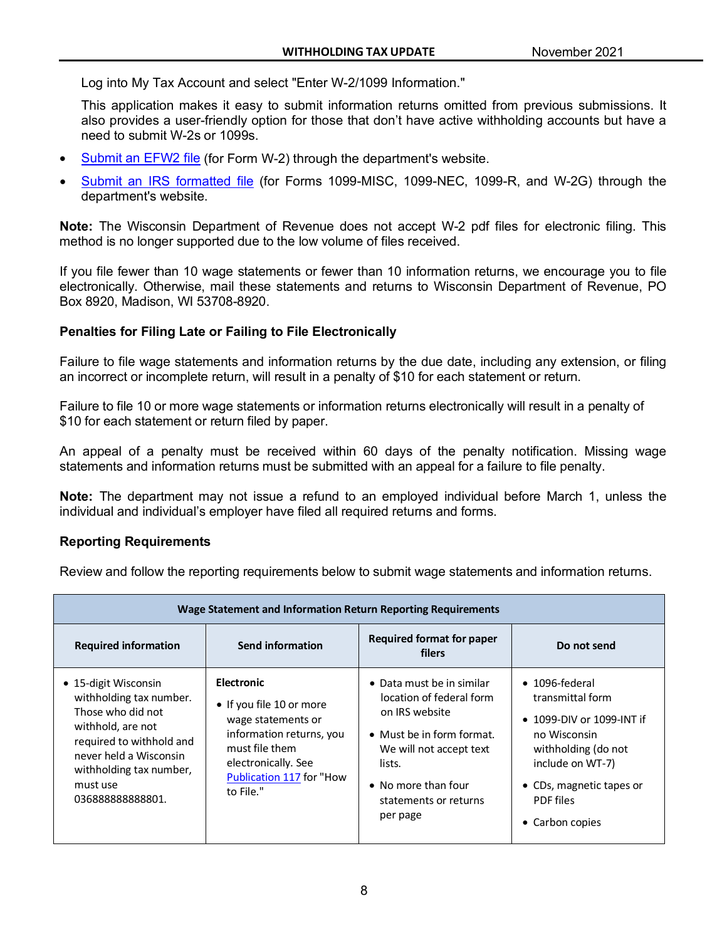Log into My Tax Account and select "Enter W-2/1099 Information."

This application makes it easy to submit information returns omitted from previous submissions. It also provides a user-friendly option for those that don't have active withholding accounts but have a need to submit W-2s or 1099s.

- [Submit an EFW2 file](https://www.revenue.wi.gov/Pages/OnlineServices/w-2.aspx) (for Form W-2) through the department's website.
- [Submit an IRS formatted file](https://www.revenue.wi.gov/Pages/OnlineServices/w-2.aspx) (for Forms 1099-MISC, 1099-NEC, 1099-R, and W-2G) through the department's website.

**Note:** The Wisconsin Department of Revenue does not accept W-2 pdf files for electronic filing. This method is no longer supported due to the low volume of files received.

If you file fewer than 10 wage statements or fewer than 10 information returns, we encourage you to file electronically. Otherwise, mail these statements and returns to Wisconsin Department of Revenue, PO Box 8920, Madison, WI 53708-8920.

# **Penalties for Filing Late or Failing to File Electronically**

Failure to file wage statements and information returns by the due date, including any extension, or filing an incorrect or incomplete return, will result in a penalty of \$10 for each statement or return.

Failure to file 10 or more wage statements or information returns electronically will result in a penalty of \$10 for each statement or return filed by paper.

An appeal of a penalty must be received within 60 days of the penalty notification. Missing wage statements and information returns must be submitted with an appeal for a failure to file penalty.

**Note:** The department may not issue a refund to an employed individual before March 1, unless the individual and individual's employer have filed all required returns and forms.

# **Reporting Requirements**

Review and follow the reporting requirements below to submit wage statements and information returns.

| Wage Statement and Information Return Reporting Requirements                                                                                                                                               |                                                                                                                                                                                   |                                                                                                                                                                                                       |                                                                                                                                                                                                       |  |  |  |
|------------------------------------------------------------------------------------------------------------------------------------------------------------------------------------------------------------|-----------------------------------------------------------------------------------------------------------------------------------------------------------------------------------|-------------------------------------------------------------------------------------------------------------------------------------------------------------------------------------------------------|-------------------------------------------------------------------------------------------------------------------------------------------------------------------------------------------------------|--|--|--|
| <b>Required information</b>                                                                                                                                                                                | Send information                                                                                                                                                                  | <b>Required format for paper</b><br>filers                                                                                                                                                            | Do not send                                                                                                                                                                                           |  |  |  |
| • 15-digit Wisconsin<br>withholding tax number.<br>Those who did not<br>withhold, are not<br>required to withhold and<br>never held a Wisconsin<br>withholding tax number,<br>must use<br>036888888888801. | <b>Electronic</b><br>• If you file 10 or more<br>wage statements or<br>information returns, you<br>must file them<br>electronically. See<br>Publication 117 for "How<br>to File." | • Data must be in similar<br>location of federal form<br>on IRS website<br>• Must be in form format.<br>We will not accept text<br>lists.<br>• No more than four<br>statements or returns<br>per page | $\bullet$ 1096-federal<br>transmittal form<br>• 1099-DIV or 1099-INT if<br>no Wisconsin<br>withholding (do not<br>include on WT-7)<br>• CDs, magnetic tapes or<br><b>PDF</b> files<br>• Carbon copies |  |  |  |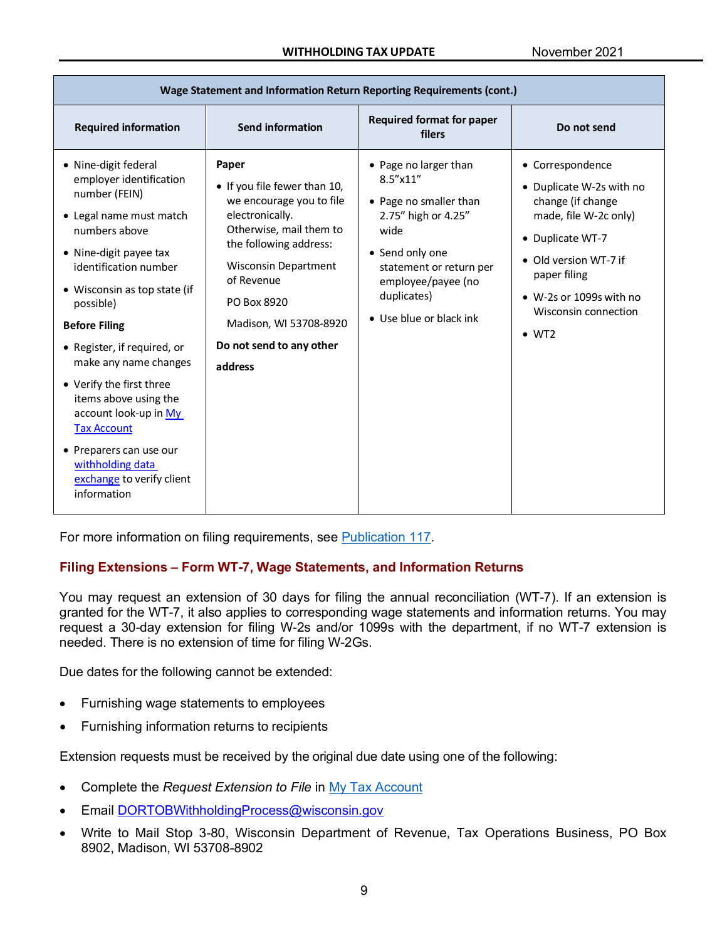| Wage Statement and Information Return Reporting Requirements (cont.)                                                                                                                                                                                                                                                                                                                                                                                                                        |                                                                                                                                                                                                                                                                        |                                                                                                                                                                                                               |                                                                                                                                                                                                                             |  |  |  |  |
|---------------------------------------------------------------------------------------------------------------------------------------------------------------------------------------------------------------------------------------------------------------------------------------------------------------------------------------------------------------------------------------------------------------------------------------------------------------------------------------------|------------------------------------------------------------------------------------------------------------------------------------------------------------------------------------------------------------------------------------------------------------------------|---------------------------------------------------------------------------------------------------------------------------------------------------------------------------------------------------------------|-----------------------------------------------------------------------------------------------------------------------------------------------------------------------------------------------------------------------------|--|--|--|--|
| <b>Required information</b>                                                                                                                                                                                                                                                                                                                                                                                                                                                                 | <b>Send information</b>                                                                                                                                                                                                                                                | <b>Required format for paper</b><br>filers                                                                                                                                                                    | Do not send                                                                                                                                                                                                                 |  |  |  |  |
| • Nine-digit federal<br>employer identification<br>number (FEIN)<br>• Legal name must match<br>numbers above<br>• Nine-digit payee tax<br>identification number<br>• Wisconsin as top state (if<br>possible)<br><b>Before Filing</b><br>• Register, if required, or<br>make any name changes<br>• Verify the first three<br>items above using the<br>account look-up in My<br><b>Tax Account</b><br>• Preparers can use our<br>withholding data<br>exchange to verify client<br>information | Paper<br>• If you file fewer than 10,<br>we encourage you to file<br>electronically.<br>Otherwise, mail them to<br>the following address:<br><b>Wisconsin Department</b><br>of Revenue<br>PO Box 8920<br>Madison, WI 53708-8920<br>Do not send to any other<br>address | • Page no larger than<br>$8.5''$ x 11"<br>• Page no smaller than<br>2.75" high or 4.25"<br>wide<br>• Send only one<br>statement or return per<br>employee/payee (no<br>duplicates)<br>• Use blue or black ink | • Correspondence<br>• Duplicate W-2s with no<br>change (if change<br>made, file W-2c only)<br>• Duplicate WT-7<br>• Old version WT-7 if<br>paper filing<br>• W-2s or 1099s with no<br>Wisconsin connection<br>$\bullet$ WT2 |  |  |  |  |

For more information on filing requirements, see [Publication](https://www.revenue.wi.gov/DOR%20Publications/pb117.PDF) 117.

# <span id="page-8-0"></span>**Filing Extensions – Form WT-7, Wage Statements, and Information Returns**

You may request an extension of 30 days for filing the annual reconciliation (WT-7). If an extension is granted for the WT-7, it also applies to corresponding wage statements and information returns. You may request a 30-day extension for filing W-2s and/or 1099s with the department, if no WT-7 extension is needed. There is no extension of time for filing W-2Gs.

Due dates for the following cannot be extended:

- Furnishing wage statements to employees
- Furnishing information returns to recipients

Extension requests must be received by the original due date using one of the following:

- Complete the *Request Extension to File* in [My Tax Account](https://tap.revenue.wi.gov/mta/)
- Email [DORTOBWithholdingProcess@wisconsin.gov](mailto:DORTOBWithholdingProcess@wisconsin.gov)
- Write to Mail Stop 3-80, Wisconsin Department of Revenue, Tax Operations Business, PO Box 8902, Madison, WI 53708-8902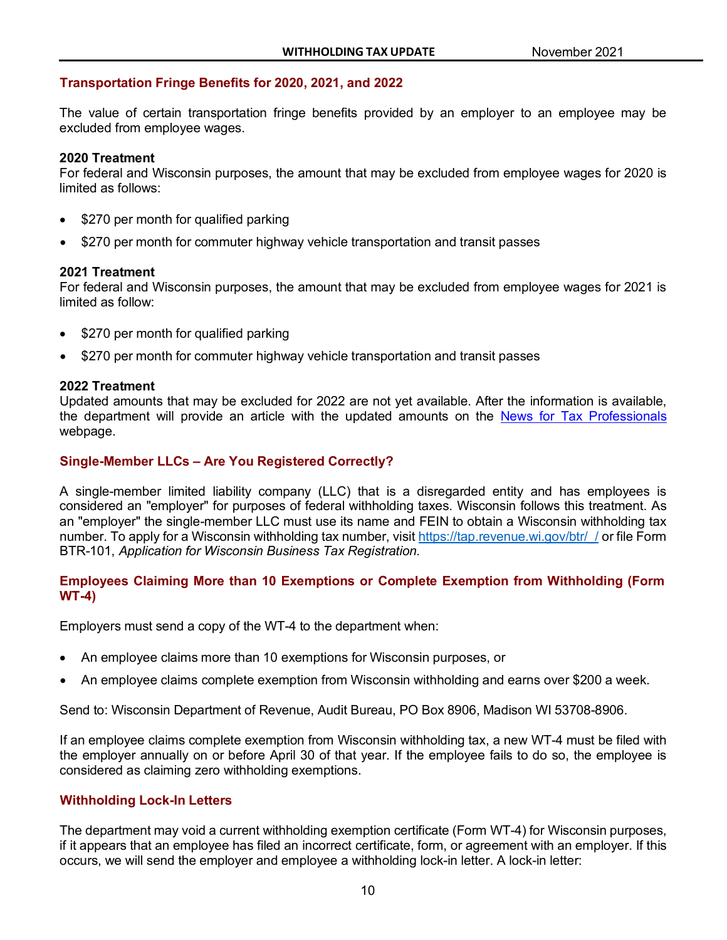# <span id="page-9-0"></span>**Transportation Fringe Benefits for 2020, 2021, and 2022**

The value of certain transportation fringe benefits provided by an employer to an employee may be excluded from employee wages.

#### **2020 Treatment**

For federal and Wisconsin purposes, the amount that may be excluded from employee wages for 2020 is limited as follows:

- \$270 per month for qualified parking
- \$270 per month for commuter highway vehicle transportation and transit passes

#### **2021 Treatment**

For federal and Wisconsin purposes, the amount that may be excluded from employee wages for 2021 is limited as follow:

- \$270 per month for qualified parking
- \$270 per month for commuter highway vehicle transportation and transit passes

#### **2022 Treatment**

Updated amounts that may be excluded for 2022 are not yet available. After the information is available, the department will provide an article with the updated amounts on the [News for Tax Professionals](https://www.revenue.wi.gov/Pages/TaxPro/news-home.aspx) webpage.

# <span id="page-9-1"></span>**Single-Member LLCs – Are You Registered Correctly?**

A single-member limited liability company (LLC) that is a disregarded entity and has employees is considered an "employer" for purposes of federal withholding taxes. Wisconsin follows this treatment. As an "employer" the single-member LLC must use its name and FEIN to obtain a Wisconsin withholding tax number. To apply for a Wisconsin withholding tax number, visit https://tap.revenue.wi.gov/btr/ / or file Form BTR-101, *Application for Wisconsin Business Tax Registration.*

# <span id="page-9-2"></span>**Employees Claiming More than 10 Exemptions or Complete Exemption from Withholding (Form WT-4)**

Employers must send a copy of the WT-4 to the department when:

- An employee claims more than 10 exemptions for Wisconsin purposes, or
- An employee claims complete exemption from Wisconsin withholding and earns over \$200 a week.

Send to: Wisconsin Department of Revenue, Audit Bureau, PO Box 8906, Madison WI 53708-8906.

If an employee claims complete exemption from Wisconsin withholding tax, a new WT-4 must be filed with the employer annually on or before April 30 of that year. If the employee fails to do so, the employee is considered as claiming zero withholding exemptions.

#### <span id="page-9-3"></span>**Withholding Lock-In Letters**

The department may void a current withholding exemption certificate (Form WT-4) for Wisconsin purposes, if it appears that an employee has filed an incorrect certificate, form, or agreement with an employer. If this occurs, we will send the employer and employee a withholding lock-in letter. A lock-in letter: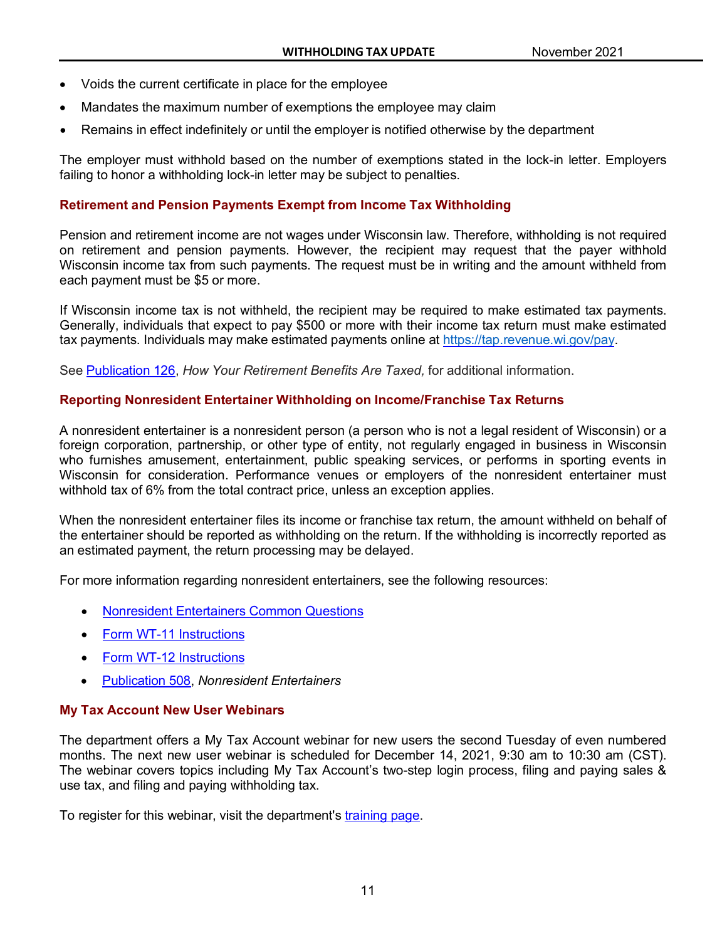- Voids the current certificate in place for the employee
- Mandates the maximum number of exemptions the employee may claim
- Remains in effect indefinitely or until the employer is notified otherwise by the department

The employer must withhold based on the number of exemptions stated in the lock-in letter. Employers failing to honor a withholding lock-in letter may be subject to penalties.

# <span id="page-10-0"></span>**Retirement and Pension Payments Exempt from Income Tax Withholding**

Pension and retirement income are not wages under Wisconsin law. Therefore, withholding is not required on retirement and pension payments. However, the recipient may request that the payer withhold Wisconsin income tax from such payments. The request must be in writing and the amount withheld from each payment must be \$5 or more.

If Wisconsin income tax is not withheld, the recipient may be required to make estimated tax payments. Generally, individuals that expect to pay \$500 or more with their income tax return must make estimated tax payments. Individuals may make estimated payments online at [https://tap.revenue.wi.gov/pay.](https://tap.revenue.wi.gov/pay)

See [Publication](http://www.revenue.wi.gov/pubs/pb126.pdf) 126, *How Your Retirement Benefits Are Taxed,* for additional information.

# <span id="page-10-1"></span>**Reporting Nonresident Entertainer Withholding on Income/Franchise Tax Returns**

A nonresident entertainer is a nonresident person (a person who is not a legal resident of Wisconsin) or a foreign corporation, partnership, or other type of entity, not regularly engaged in business in Wisconsin who furnishes amusement, entertainment, public speaking services, or performs in sporting events in Wisconsin for consideration. Performance venues or employers of the nonresident entertainer must withhold tax of 6% from the total contract price, unless an exception applies.

When the nonresident entertainer files its income or franchise tax return, the amount withheld on behalf of the entertainer should be reported as withholding on the return. If the withholding is incorrectly reported as an estimated payment, the return processing may be delayed.

For more information regarding nonresident entertainers, see the following resources:

- [Nonresident Entertainers Common Questions](https://www.revenue.wi.gov/Pages/FAQS/ise-nonresent.aspx)
- [Form WT-11 Instructions](https://www.revenue.wi.gov/Pages/Form/with-home.aspx)
- [Form WT-12 Instructions](https://www.revenue.wi.gov/Pages/Form/with-home.aspx)
- [Publication 508,](https://www.revenue.wi.gov/Pages/HTML/taxpubs.aspx) *Nonresident Entertainers*

# <span id="page-10-2"></span>**My Tax Account New User Webinars**

The department offers a My Tax Account webinar for new users the second Tuesday of even numbered months. The next new user webinar is scheduled for December 14, 2021, 9:30 am to 10:30 am (CST). The webinar covers topics including My Tax Account's two-step login process, filing and paying sales & use tax, and filing and paying withholding tax.

To register for this webinar, visit the department's [training page.](https://www.revenue.wi.gov/Pages/Training/Home.aspx)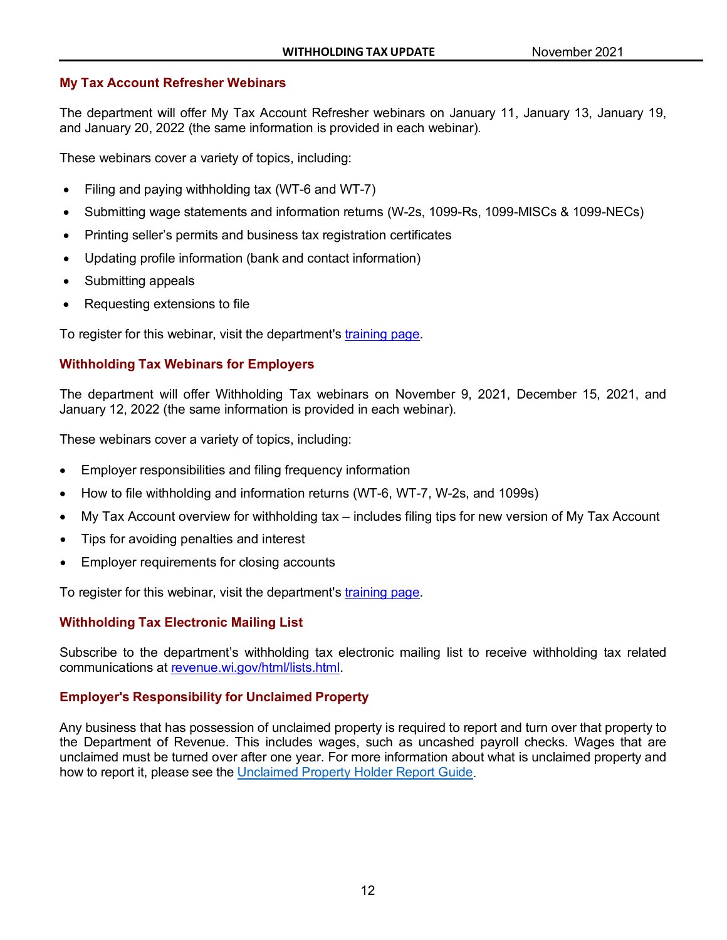# <span id="page-11-0"></span>**My Tax Account Refresher Webinars**

The department will offer My Tax Account Refresher webinars on January 11, January 13, January 19, and January 20, 2022 (the same information is provided in each webinar).

These webinars cover a variety of topics, including:

- Filing and paying withholding tax (WT-6 and WT-7)
- Submitting wage statements and information returns (W-2s, 1099-Rs, 1099-MISCs & 1099-NECs)
- Printing seller's permits and business tax registration certificates
- Updating profile information (bank and contact information)
- Submitting appeals
- Requesting extensions to file

To register for this webinar, visit the department's [training page.](https://www.revenue.wi.gov/Pages/Training/Home.aspx)

# <span id="page-11-1"></span>**Withholding Tax Webinars for Employers**

The department will offer Withholding Tax webinars on November 9, 2021, December 15, 2021, and January 12, 2022 (the same information is provided in each webinar).

These webinars cover a variety of topics, including:

- Employer responsibilities and filing frequency information
- How to file withholding and information returns (WT-6, WT-7, W-2s, and 1099s)
- My Tax Account overview for withholding tax includes filing tips for new version of My Tax Account
- Tips for avoiding penalties and interest
- Employer requirements for closing accounts

To register for this webinar, visit the department's [training page.](https://www.revenue.wi.gov/Pages/Training/Home.aspx)

# <span id="page-11-2"></span>**Withholding Tax Electronic Mailing List**

Subscribe to the department's withholding tax electronic mailing list to receive withholding tax related communications at [revenue.wi.gov/html/lists.html.](https://www.revenue.wi.gov/Pages/HTML/lists.aspx)

# <span id="page-11-3"></span>**Employer's Responsibility for Unclaimed Property**

Any business that has possession of unclaimed property is required to report and turn over that property to the Department of Revenue. This includes wages, such as uncashed payroll checks. Wages that are unclaimed must be turned over after one year. For more information about what is unclaimed property and how to report it, please see the Unclaimed Property Holder [Report Guide.](https://www.revenue.wi.gov/DOR%20Publications/pb82.pdf)